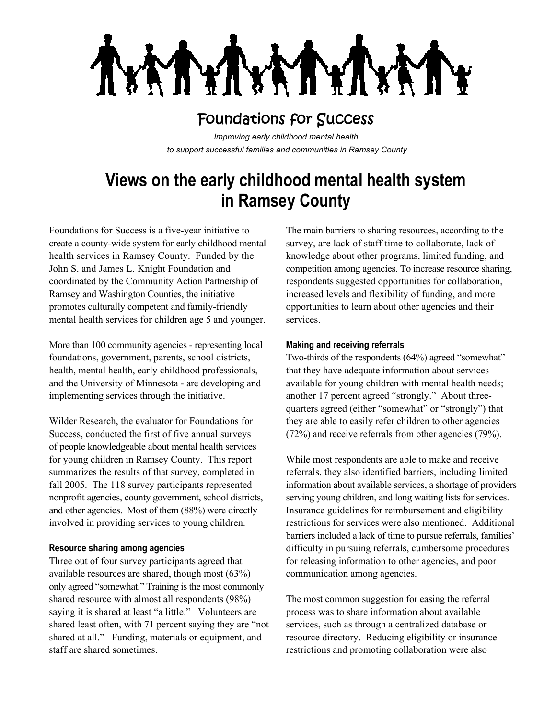**TYTY!** MY

# Foundations for Success

*Improving early childhood mental health to support successful families and communities in Ramsey County*

# **Views on the early childhood mental health system in Ramsey County**

Foundations for Success is a five-year initiative to create a county-wide system for early childhood mental health services in Ramsey County. Funded by the John S. and James L. Knight Foundation and coordinated by the Community Action Partnership of Ramsey and Washington Counties, the initiative promotes culturally competent and family-friendly mental health services for children age 5 and younger.

More than 100 community agencies - representing local foundations, government, parents, school districts, health, mental health, early childhood professionals, and the University of Minnesota - are developing and implementing services through the initiative.

Wilder Research, the evaluator for Foundations for Success, conducted the first of five annual surveys of people knowledgeable about mental health services for young children in Ramsey County. This report summarizes the results of that survey, completed in fall 2005. The 118 survey participants represented nonprofit agencies, county government, school districts, and other agencies. Most of them (88%) were directly involved in providing services to young children.

#### **Resource sharing among agencies**

Three out of four survey participants agreed that available resources are shared, though most (63%) only agreed "somewhat." Training is the most commonly shared resource with almost all respondents (98%) saying it is shared at least "a little." Volunteers are shared least often, with 71 percent saying they are "not shared at all." Funding, materials or equipment, and staff are shared sometimes.

The main barriers to sharing resources, according to the survey, are lack of staff time to collaborate, lack of knowledge about other programs, limited funding, and competition among agencies. To increase resource sharing, respondents suggested opportunities for collaboration, increased levels and flexibility of funding, and more opportunities to learn about other agencies and their services.

# **Making and receiving referrals**

Two-thirds of the respondents (64%) agreed "somewhat" that they have adequate information about services available for young children with mental health needs; another 17 percent agreed "strongly." About threequarters agreed (either "somewhat" or "strongly") that they are able to easily refer children to other agencies (72%) and receive referrals from other agencies (79%).

While most respondents are able to make and receive referrals, they also identified barriers, including limited information about available services, a shortage of providers serving young children, and long waiting lists for services. Insurance guidelines for reimbursement and eligibility restrictions for services were also mentioned. Additional barriers included a lack of time to pursue referrals, families' difficulty in pursuing referrals, cumbersome procedures for releasing information to other agencies, and poor communication among agencies.

The most common suggestion for easing the referral process was to share information about available services, such as through a centralized database or resource directory. Reducing eligibility or insurance restrictions and promoting collaboration were also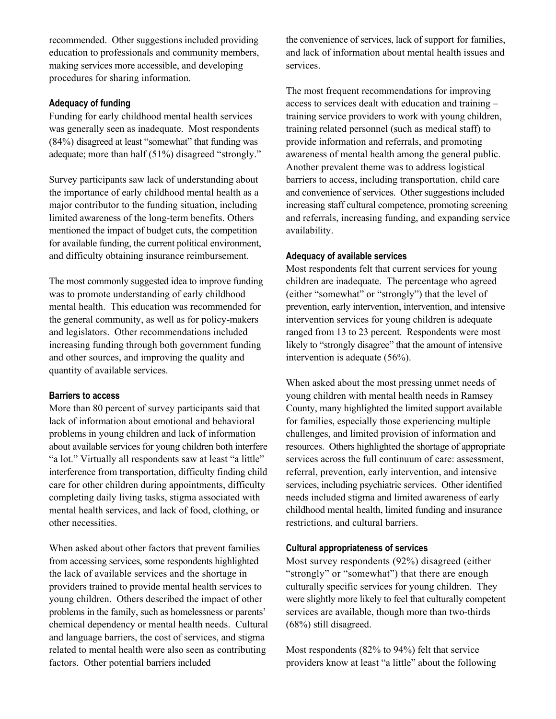recommended. Other suggestions included providing education to professionals and community members, making services more accessible, and developing procedures for sharing information.

# **Adequacy of funding**

Funding for early childhood mental health services was generally seen as inadequate. Most respondents (84%) disagreed at least "somewhat" that funding was adequate; more than half (51%) disagreed "strongly."

Survey participants saw lack of understanding about the importance of early childhood mental health as a major contributor to the funding situation, including limited awareness of the long-term benefits. Others mentioned the impact of budget cuts, the competition for available funding, the current political environment, and difficulty obtaining insurance reimbursement.

The most commonly suggested idea to improve funding was to promote understanding of early childhood mental health. This education was recommended for the general community, as well as for policy-makers and legislators. Other recommendations included increasing funding through both government funding and other sources, and improving the quality and quantity of available services.

# **Barriers to access**

More than 80 percent of survey participants said that lack of information about emotional and behavioral problems in young children and lack of information about available services for young children both interfere "a lot." Virtually all respondents saw at least "a little" interference from transportation, difficulty finding child care for other children during appointments, difficulty completing daily living tasks, stigma associated with mental health services, and lack of food, clothing, or other necessities.

When asked about other factors that prevent families from accessing services, some respondents highlighted the lack of available services and the shortage in providers trained to provide mental health services to young children. Others described the impact of other problems in the family, such as homelessness or parents' chemical dependency or mental health needs. Cultural and language barriers, the cost of services, and stigma related to mental health were also seen as contributing factors. Other potential barriers included

the convenience of services, lack of support for families, and lack of information about mental health issues and services.

The most frequent recommendations for improving access to services dealt with education and training – training service providers to work with young children, training related personnel (such as medical staff) to provide information and referrals, and promoting awareness of mental health among the general public. Another prevalent theme was to address logistical barriers to access, including transportation, child care and convenience of services. Other suggestions included increasing staff cultural competence, promoting screening and referrals, increasing funding, and expanding service availability.

# **Adequacy of available services**

Most respondents felt that current services for young children are inadequate. The percentage who agreed (either "somewhat" or "strongly") that the level of prevention, early intervention, intervention, and intensive intervention services for young children is adequate ranged from 13 to 23 percent. Respondents were most likely to "strongly disagree" that the amount of intensive intervention is adequate (56%).

When asked about the most pressing unmet needs of young children with mental health needs in Ramsey County, many highlighted the limited support available for families, especially those experiencing multiple challenges, and limited provision of information and resources. Others highlighted the shortage of appropriate services across the full continuum of care: assessment, referral, prevention, early intervention, and intensive services, including psychiatric services. Other identified needs included stigma and limited awareness of early childhood mental health, limited funding and insurance restrictions, and cultural barriers.

#### **Cultural appropriateness of services**

Most survey respondents (92%) disagreed (either "strongly" or "somewhat") that there are enough culturally specific services for young children. They were slightly more likely to feel that culturally competent services are available, though more than two-thirds (68%) still disagreed.

Most respondents (82% to 94%) felt that service providers know at least "a little" about the following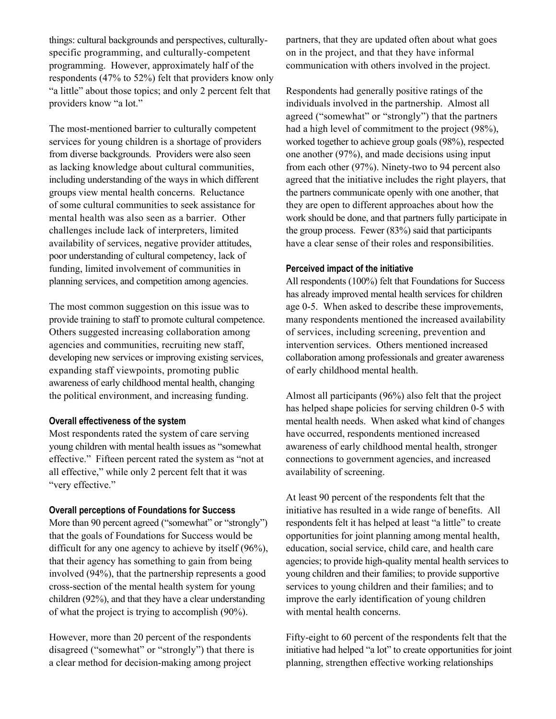things: cultural backgrounds and perspectives, culturallyspecific programming, and culturally-competent programming. However, approximately half of the respondents (47% to 52%) felt that providers know only "a little" about those topics; and only 2 percent felt that providers know "a lot."

The most-mentioned barrier to culturally competent services for young children is a shortage of providers from diverse backgrounds. Providers were also seen as lacking knowledge about cultural communities, including understanding of the ways in which different groups view mental health concerns. Reluctance of some cultural communities to seek assistance for mental health was also seen as a barrier. Other challenges include lack of interpreters, limited availability of services, negative provider attitudes, poor understanding of cultural competency, lack of funding, limited involvement of communities in planning services, and competition among agencies.

The most common suggestion on this issue was to provide training to staff to promote cultural competence. Others suggested increasing collaboration among agencies and communities, recruiting new staff, developing new services or improving existing services, expanding staff viewpoints, promoting public awareness of early childhood mental health, changing the political environment, and increasing funding.

# **Overall effectiveness of the system**

Most respondents rated the system of care serving young children with mental health issues as "somewhat effective." Fifteen percent rated the system as "not at all effective," while only 2 percent felt that it was "very effective."

#### **Overall perceptions of Foundations for Success**

More than 90 percent agreed ("somewhat" or "strongly") that the goals of Foundations for Success would be difficult for any one agency to achieve by itself (96%), that their agency has something to gain from being involved (94%), that the partnership represents a good cross-section of the mental health system for young children (92%), and that they have a clear understanding of what the project is trying to accomplish (90%).

However, more than 20 percent of the respondents disagreed ("somewhat" or "strongly") that there is a clear method for decision-making among project

partners, that they are updated often about what goes on in the project, and that they have informal communication with others involved in the project.

Respondents had generally positive ratings of the individuals involved in the partnership. Almost all agreed ("somewhat" or "strongly") that the partners had a high level of commitment to the project (98%), worked together to achieve group goals (98%), respected one another (97%), and made decisions using input from each other (97%). Ninety-two to 94 percent also agreed that the initiative includes the right players, that the partners communicate openly with one another, that they are open to different approaches about how the work should be done, and that partners fully participate in the group process. Fewer (83%) said that participants have a clear sense of their roles and responsibilities.

# **Perceived impact of the initiative**

All respondents (100%) felt that Foundations for Success has already improved mental health services for children age 0-5. When asked to describe these improvements, many respondents mentioned the increased availability of services, including screening, prevention and intervention services. Others mentioned increased collaboration among professionals and greater awareness of early childhood mental health.

Almost all participants (96%) also felt that the project has helped shape policies for serving children 0-5 with mental health needs. When asked what kind of changes have occurred, respondents mentioned increased awareness of early childhood mental health, stronger connections to government agencies, and increased availability of screening.

At least 90 percent of the respondents felt that the initiative has resulted in a wide range of benefits. All respondents felt it has helped at least "a little" to create opportunities for joint planning among mental health, education, social service, child care, and health care agencies; to provide high-quality mental health services to young children and their families; to provide supportive services to young children and their families; and to improve the early identification of young children with mental health concerns.

Fifty-eight to 60 percent of the respondents felt that the initiative had helped "a lot" to create opportunities for joint planning, strengthen effective working relationships